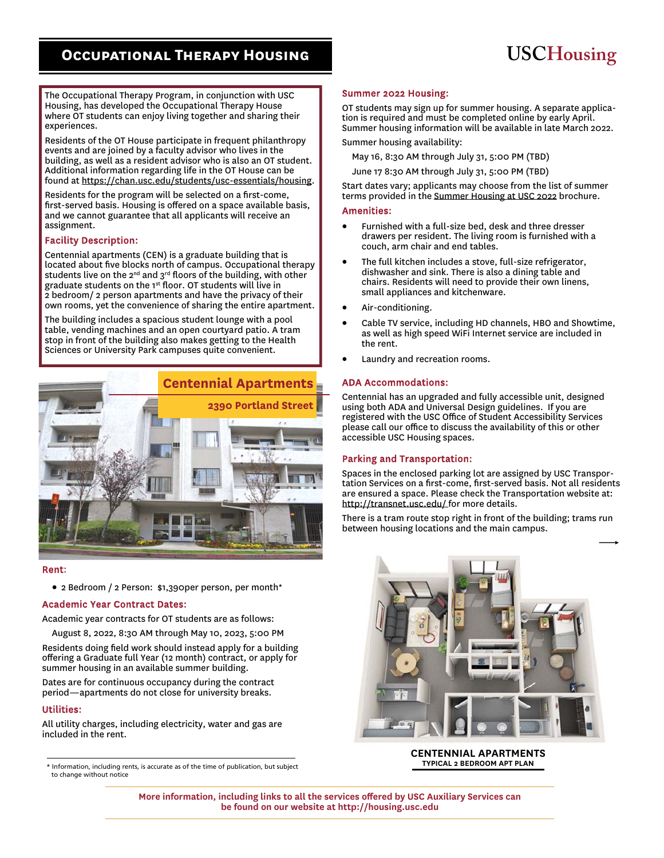# **Occupational Therapy Housing**

# **USCHousing**

The Occupational Therapy Program, in conjunction with USC Housing, has developed the Occupational Therapy House where OT students can enjoy living together and sharing their experiences.

Residents of the OT House participate in frequent philanthropy events and are joined by a faculty advisor who lives in the building, as well as a resident advisor who is also an OT student. Additional information regarding life in the OT House can be found at https://chan.usc.edu/students/usc-essentials/housing.

Residents for the program will be selected on a first-come, first-served basis. Housing is offered on a space available basis, and we cannot guarantee that all applicants will receive an assignment.

# Facility Description:

Centennial apartments (CEN) is a graduate building that is located about five blocks north of campus. Occupational therapy students live on the  $2^{nd}$  and  $3^{rd}$  floors of the building, with other graduate students on the 1st floor. OT students will live in 2 bedroom/ 2 person apartments and have the privacy of their own rooms, yet the convenience of sharing the entire apartment.

The building includes a spacious student lounge with a pool table, vending machines and an open courtyard patio. A tram stop in front of the building also makes getting to the Health Sciences or University Park campuses quite convenient.



#### Rent:

2 Bedroom / 2 Person: \$1,390per person, per month\*

# Academic Year Contract Dates:

Academic year contracts for OT students are as follows:

August 8, 2022, 8:30 AM through May 10, 2023, 5:00 PM

Residents doing field work should instead apply for a building offering a Graduate full Year (12 month) contract, or apply for summer housing in an available summer building.

Dates are for continuous occupancy during the contract period—apartments do not close for university breaks.

# Utilities:

 $\overline{a}$ 

All utility charges, including electricity, water and gas are included in the rent.

\* Information, including rents, is accurate as of the time of publication, but subject to change without notice

#### Summer 2022 Housing:

OT students may sign up for summer housing. A separate application is required and must be completed online by early April. Summer housing information will be available in late March 2022.

Summer housing availability:

May 16, 8:30 AM through July 31, 5:00 PM (TBD)

June 17 8:30 AM through July 31, 5:00 PM (TBD)

Start dates vary; applicants may choose from the list of summer terms provided in the Summer Housing at USC 2022 brochure.

#### Amenities:

- Furnished with a full-size bed, desk and three dresser drawers per resident. The living room is furnished with a couch, arm chair and end tables.
- The full kitchen includes a stove, full-size refrigerator, dishwasher and sink. There is also a dining table and chairs. Residents will need to provide their own linens, small appliances and kitchenware.
- Air-conditioning.
- Cable TV service, including HD channels, HBO and Showtime, as well as high speed WiFi Internet service are included in the rent.
- Laundry and recreation rooms.

#### ADA Accommodations:

Centennial has an upgraded and fully accessible unit, designed using both ADA and Universal Design guidelines. If you are registered with the USC Office of Student Accessibility Services please call our office to discuss the availability of this or other accessible USC Housing spaces.

#### Parking and Transportation:

Spaces in the enclosed parking lot are assigned by USC Transportation Services on a first-come, first-served basis. Not all residents are ensured a space. Please check the Transportation website at: http://transnet.usc.edu/ for more details.

There is a tram route stop right in front of the building; trams run between housing locations and the main campus.



**CENTENNIAL APARTMENTS TYPICAL 2 BEDROOM APT PLAN** 

**More information, including links to all the services offered by USC Auxiliary Services can be found on our website at http://housing.usc.edu**